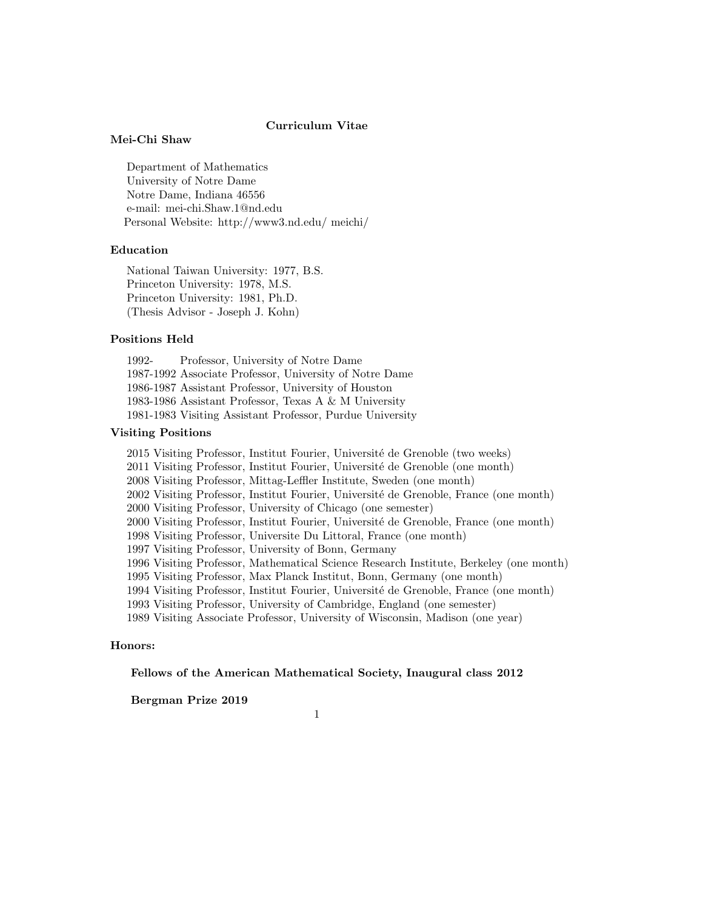# Curriculum Vitae

## Mei-Chi Shaw

Department of Mathematics University of Notre Dame Notre Dame, Indiana 46556 e-mail: mei-chi.Shaw.1@nd.edu Personal Website: http://www3.nd.edu/ meichi/

# Education

National Taiwan University: 1977, B.S. Princeton University: 1978, M.S. Princeton University: 1981, Ph.D. (Thesis Advisor - Joseph J. Kohn)

## Positions Held

1992- Professor, University of Notre Dame 1987-1992 Associate Professor, University of Notre Dame 1986-1987 Assistant Professor, University of Houston 1983-1986 Assistant Professor, Texas A & M University 1981-1983 Visiting Assistant Professor, Purdue University

# Visiting Positions

2015 Visiting Professor, Institut Fourier, Université de Grenoble (two weeks) 2011 Visiting Professor, Institut Fourier, Université de Grenoble (one month) 2008 Visiting Professor, Mittag-Leffler Institute, Sweden (one month) 2002 Visiting Professor, Institut Fourier, Université de Grenoble, France (one month) 2000 Visiting Professor, University of Chicago (one semester) 2000 Visiting Professor, Institut Fourier, Université de Grenoble, France (one month) 1998 Visiting Professor, Universite Du Littoral, France (one month) 1997 Visiting Professor, University of Bonn, Germany 1996 Visiting Professor, Mathematical Science Research Institute, Berkeley (one month) 1995 Visiting Professor, Max Planck Institut, Bonn, Germany (one month) 1994 Visiting Professor, Institut Fourier, Université de Grenoble, France (one month) 1993 Visiting Professor, University of Cambridge, England (one semester) 1989 Visiting Associate Professor, University of Wisconsin, Madison (one year)

# Honors:

## Fellows of the American Mathematical Society, Inaugural class 2012

Bergman Prize 2019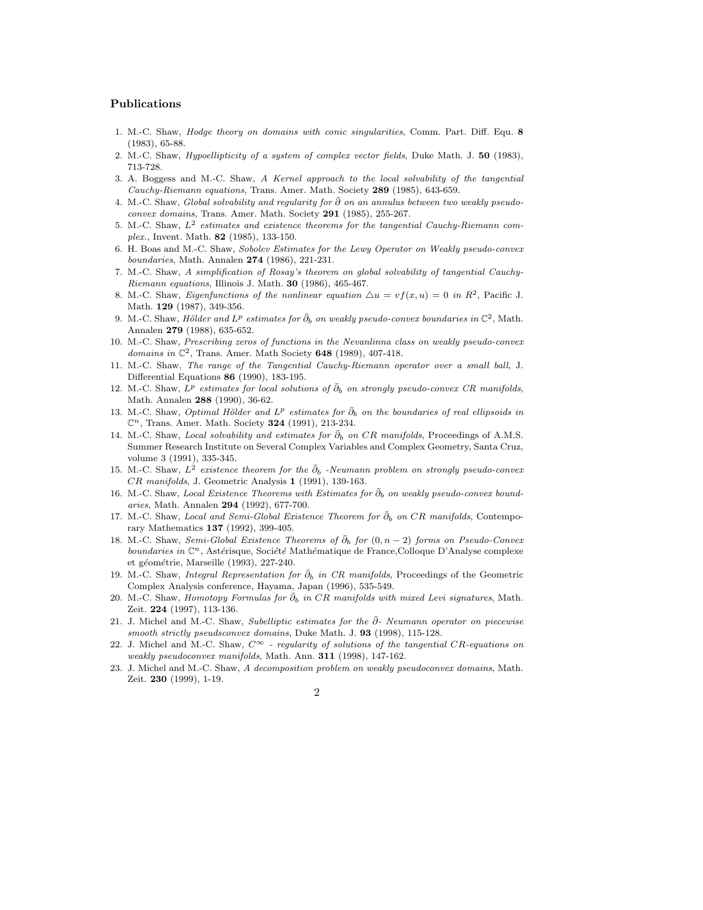# Publications

- 1. M.-C. Shaw, *Hodge theory on domains with conic singularities*, Comm. Part. Diff. Equ. 8 (1983), 65-88.
- 2. M.-C. Shaw, Hypoellipticity of a system of complex vector fields, Duke Math. J. 50 (1983), 713-728.
- 3. A. Boggess and M.-C. Shaw, A Kernel approach to the local solvability of the tangential Cauchy-Riemann equations, Trans. Amer. Math. Society 289 (1985), 643-659.
- 4. M.-C. Shaw, Global solvability and regularity for  $\bar{\partial}$  on an annulus between two weakly pseudoconvex domains, Trans. Amer. Math. Society 291 (1985), 255-267.
- 5. M.-C. Shaw,  $L^2$  estimates and existence theorems for the tangential Cauchy-Riemann complex., Invent. Math. 82 (1985), 133-150.
- 6. H. Boas and M.-C. Shaw, Sobolev Estimates for the Lewy Operator on Weakly pseudo-convex boundaries, Math. Annalen 274 (1986), 221-231.
- 7. M.-C. Shaw, A simplification of Rosay's theorem on global solvability of tangential Cauchy-Riemann equations, Illinois J. Math. 30 (1986), 465-467.
- 8. M.-C. Shaw, *Eigenfunctions* of the nonlinear equation  $\Delta u = v f(x, u) = 0$  in  $R^2$ , Pacific J. Math. 129 (1987), 349-356.
- 9. M.-C. Shaw, *Hölder and L<sup>p</sup>* estimates for  $\bar{\partial}_b$  on weakly pseudo-convex boundaries in  $\mathbb{C}^2$ , Math. Annalen 279 (1988), 635-652.
- 10. M.-C. Shaw, Prescribing zeros of functions in the Nevanlinna class on weakly pseudo-convex domains in  $\mathbb{C}^2$ , Trans. Amer. Math Society 648 (1989), 407-418.
- 11. M.-C. Shaw, The range of the Tangential Cauchy-Riemann operator over a small ball, J. Differential Equations 86 (1990), 183-195.
- 12. M.-C. Shaw,  $L^p$  estimates for local solutions of  $\bar{\partial}_b$  on strongly pseudo-convex CR manifolds, Math. Annalen 288 (1990), 36-62.
- 13. M.-C. Shaw, Optimal Hölder and  $L^p$  estimates for  $\bar{\partial}_b$  on the boundaries of real ellipsoids in  $\mathbb{C}^n$ , Trans. Amer. Math. Society **324** (1991), 213-234.
- 14. M.-C. Shaw, Local solvability and estimates for  $\bar{\partial}_b$  on CR manifolds, Proceedings of A.M.S. Summer Research Institute on Several Complex Variables and Complex Geometry, Santa Cruz, volume 3 (1991), 335-345.
- 15. M.-C. Shaw,  $L^2$  existence theorem for the  $\bar{\partial}_b$  -Neumann problem on strongly pseudo-convex CR manifolds, J. Geometric Analysis 1 (1991), 139-163.
- 16. M.-C. Shaw, Local Existence Theorems with Estimates for  $\bar{\partial}_b$  on weakly pseudo-convex boundaries, Math. Annalen 294 (1992), 677-700.
- 17. M.-C. Shaw, *Local and Semi-Global Existence Theorem for*  $\bar{\partial}_b$  on CR manifolds, Contemporary Mathematics 137 (1992), 399-405.
- 18. M.-C. Shaw, Semi-Global Existence Theorems of  $\bar{\partial}_b$  for  $(0, n-2)$  forms on Pseudo-Convex boundaries in  $\mathbb{C}^n$ , Astérisque, Société Mathématique de France,Colloque D'Analyse complexe et géométrie, Marseille (1993), 227-240.
- 19. M.-C. Shaw, *Integral Representation for*  $\bar{\partial}_b$  in CR manifolds, Proceedings of the Geometric Complex Analysis conference, Hayama, Japan (1996), 535-549.
- 20. M.-C. Shaw, *Homotopy Formulas for*  $\bar{\partial}_b$  in CR manifolds with mixed Levi signatures, Math. Zeit. 224 (1997), 113-136.
- 21. J. Michel and M.-C. Shaw, Subelliptic estimates for the  $\bar{\partial}$  Neumann operator on piecewise smooth strictly pseudsconvex domains, Duke Math. J. 93 (1998), 115-128.
- 22. J. Michel and M.-C. Shaw,  $C^{\infty}$  regularity of solutions of the tangential CR-equations on weakly pseudoconvex manifolds, Math. Ann. 311 (1998), 147-162.
- 23. J. Michel and M.-C. Shaw, A decomposition problem on weakly pseudoconvex domains, Math. Zeit. 230 (1999), 1-19.
	- $\Omega$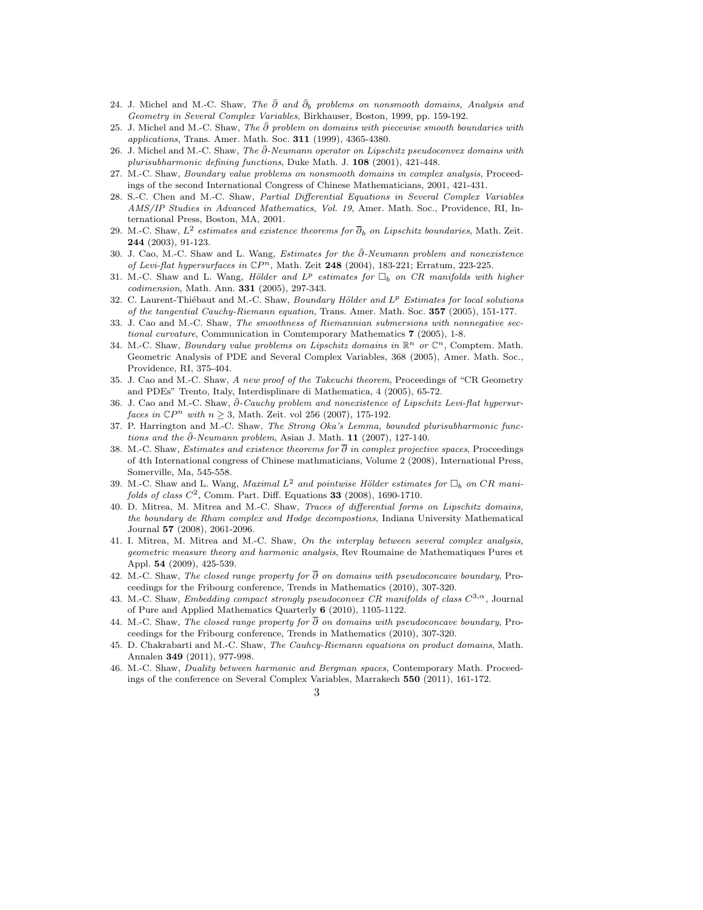- 24. J. Michel and M.-C. Shaw, *The*  $\bar{\partial}$  *and*  $\bar{\partial}_b$  *problems on nonsmooth domains, Analysis and* Geometry in Several Complex Variables, Birkhauser, Boston, 1999, pp. 159-192.
- 25. J. Michel and M.-C. Shaw, The  $\bar{\partial}$  problem on domains with piecewise smooth boundaries with applications, Trans. Amer. Math. Soc. 311 (1999), 4365-4380.
- 26. J. Michel and M.-C. Shaw, The  $\bar{\partial}$ -Neumann operator on Lipschitz pseudoconvex domains with plurisubharmonic defining functions, Duke Math. J. 108 (2001), 421-448.
- 27. M.-C. Shaw, Boundary value problems on nonsmooth domains in complex analysis, Proceedings of the second International Congress of Chinese Mathematicians, 2001, 421-431.
- 28. S.-C. Chen and M.-C. Shaw, Partial Differential Equations in Several Complex Variables AMS/IP Studies in Advanced Mathematics, Vol. 19, Amer. Math. Soc., Providence, RI, International Press, Boston, MA, 2001.
- 29. M.-C. Shaw,  $L^2$  estimates and existence theorems for  $\overline{\partial}_b$  on Lipschitz boundaries, Math. Zeit. 244 (2003), 91-123.
- 30. J. Cao, M.-C. Shaw and L. Wang, Estimates for the  $\bar{\partial}$ -Neumann problem and nonexistence of Levi-flat hypersurfaces in  $\mathbb{C}P^n$ , Math. Zeit 248 (2004), 183-221; Erratum, 223-225.
- 31. M.-C. Shaw and L. Wang, *Hölder and L<sup>p</sup>* estimates for  $\Box_b$  on CR manifolds with higher codimension, Math. Ann. 331 (2005), 297-343.
- 32. C. Laurent-Thiébaut and M.-C. Shaw, Boundary Hölder and  $L^p$  Estimates for local solutions of the tangential Cauchy-Riemann equation, Trans. Amer. Math. Soc. 357 (2005), 151-177.
- 33. J. Cao and M.-C. Shaw, The smoothness of Riemannian submersions with nonnegative sectional curvature, Communication in Comtemporary Mathematics 7 (2005), 1-8.
- 34. M.-C. Shaw, Boundary value problems on Lipschitz domains in  $\mathbb{R}^n$  or  $\mathbb{C}^n$ , Comptem. Math. Geometric Analysis of PDE and Several Complex Variables, 368 (2005), Amer. Math. Soc., Providence, RI, 375-404.
- 35. J. Cao and M.-C. Shaw, A new proof of the Takeuchi theorem, Proceedings of "CR Geometry and PDEs" Trento, Italy, Interdisplinare di Mathematica, 4 (2005), 65-72.
- 36. J. Cao and M.-C. Shaw,  $\bar{\partial}$ -Cauchy problem and nonexistence of Lipschitz Levi-flat hypersur*faces in*  $\mathbb{C}P^n$  *with*  $n \geq 3$ , Math. Zeit. vol 256 (2007), 175-192.
- 37. P. Harrington and M.-C. Shaw, The Strong Oka's Lemma, bounded plurisubharmonic functions and the  $\bar{\partial}$ -Neumann problem, Asian J. Math. 11 (2007), 127-140.
- 38. M.-C. Shaw, *Estimates and existence theorems for*  $\overline{\partial}$  in complex projective spaces, Proceedings of 4th International congress of Chinese mathmaticians, Volume 2 (2008), International Press, Somerville, Ma, 545-558.
- 39. M.-C. Shaw and L. Wang, *Maximal*  $L^2$  and pointwise Hölder estimates for  $\square_b$  on CR manifolds of class  $C^2$ , Comm. Part. Diff. Equations 33 (2008), 1690-1710.
- 40. D. Mitrea, M. Mitrea and M.-C. Shaw, Traces of differential forms on Lipschitz domains, the boundary de Rham complex and Hodge decompostions, Indiana University Mathematical Journal 57 (2008), 2061-2096.
- 41. I. Mitrea, M. Mitrea and M.-C. Shaw, On the interplay between several complex analysis, geometric measure theory and harmonic analysis, Rev Roumaine de Mathematiques Pures et Appl. 54 (2009), 425-539.
- 42. M.-C. Shaw, The closed range property for  $\overline{\partial}$  on domains with pseudoconcave boundary, Proceedings for the Fribourg conference, Trends in Mathematics (2010), 307-320.
- 43. M.-C. Shaw, Embedding compact strongly pseudoconvex CR manifolds of class  $C^{3,\alpha}$ , Journal of Pure and Applied Mathematics Quarterly 6 (2010), 1105-1122.
- 44. M.-C. Shaw, The closed range property for  $\overline{\partial}$  on domains with pseudoconcave boundary, Proceedings for the Fribourg conference, Trends in Mathematics (2010), 307-320.
- 45. D. Chakrabarti and M.-C. Shaw, The Cauhcy-Riemann equations on product domains, Math. Annalen 349 (2011), 977-998.
- 46. M.-C. Shaw, Duality between harmonic and Bergman spaces, Contemporary Math. Proceedings of the conference on Several Complex Variables, Marrakech 550 (2011), 161-172.
	- 3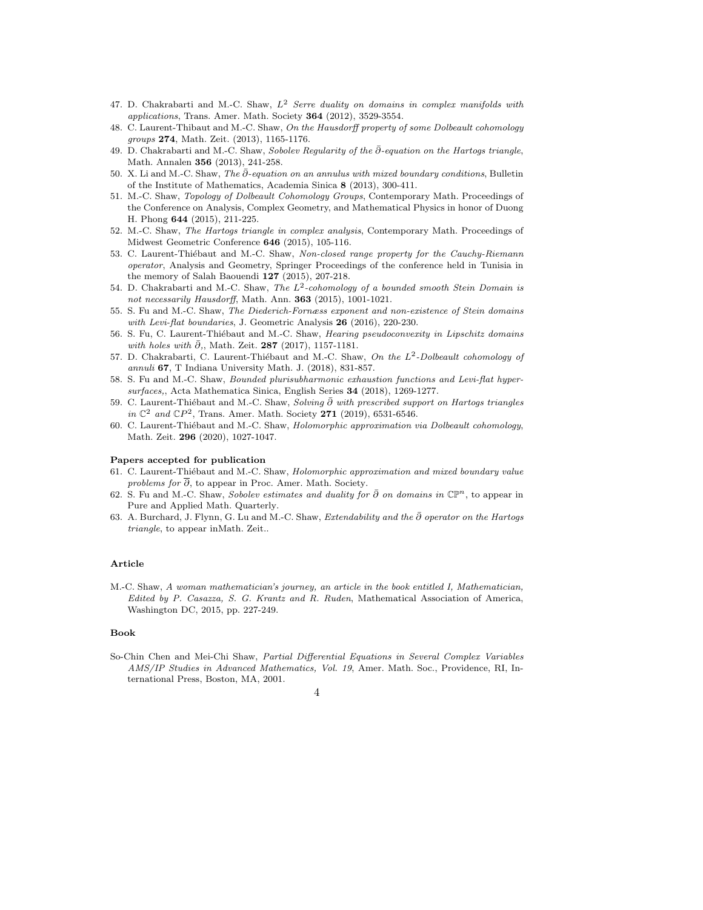- 47. D. Chakrabarti and M.-C. Shaw,  $L^2$  Serre duality on domains in complex manifolds with applications, Trans. Amer. Math. Society 364 (2012), 3529-3554.
- 48. C. Laurent-Thibaut and M.-C. Shaw, On the Hausdorff property of some Dolbeault cohomology groups 274, Math. Zeit. (2013), 1165-1176.
- 49. D. Chakrabarti and M.-C. Shaw, Sobolev Regularity of the  $\bar{\partial}$ -equation on the Hartogs triangle, Math. Annalen 356 (2013), 241-258.
- 50. X. Li and M.-C. Shaw, The  $\bar{\partial}$ -equation on an annulus with mixed boundary conditions, Bulletin of the Institute of Mathematics, Academia Sinica 8 (2013), 300-411.
- 51. M.-C. Shaw, Topology of Dolbeault Cohomology Groups, Contemporary Math. Proceedings of the Conference on Analysis, Complex Geometry, and Mathematical Physics in honor of Duong H. Phong 644 (2015), 211-225.
- 52. M.-C. Shaw, The Hartogs triangle in complex analysis, Contemporary Math. Proceedings of Midwest Geometric Conference 646 (2015), 105-116.
- 53. C. Laurent-Thiébaut and M.-C. Shaw, Non-closed range property for the Cauchy-Riemann operator, Analysis and Geometry, Springer Proceedings of the conference held in Tunisia in the memory of Salah Baouendi 127 (2015), 207-218.
- 54. D. Chakrabarti and M.-C. Shaw, The  $L^2$ -cohomology of a bounded smooth Stein Domain is not necessarily Hausdorff, Math. Ann. 363 (2015), 1001-1021.
- 55. S. Fu and M.-C. Shaw, The Diederich-Fornæss exponent and non-existence of Stein domains with Levi-flat boundaries, J. Geometric Analysis 26 (2016), 220-230.
- 56. S. Fu, C. Laurent-Thiébaut and M.-C. Shaw, *Hearing pseudoconvexity in Lipschitz domains* with holes with  $\bar{\partial}$ ,, Math. Zeit. 287 (2017), 1157-1181.
- 57. D. Chakrabarti, C. Laurent-Thiébaut and M.-C. Shaw, On the  $L^2$ -Dolbeault cohomology of annuli 67, T Indiana University Math. J. (2018), 831-857.
- 58. S. Fu and M.-C. Shaw, Bounded plurisubharmonic exhaustion functions and Levi-flat hypersurfaces,, Acta Mathematica Sinica, English Series 34 (2018), 1269-1277.
- 59. C. Laurent-Thiébaut and M.-C. Shaw, Solving  $\bar{\partial}$  with prescribed support on Hartogs triangles in  $\mathbb{C}^2$  and  $\mathbb{C}P^2$ , Trans. Amer. Math. Society 271 (2019), 6531-6546.
- 60. C. Laurent-Thiébaut and M.-C. Shaw, *Holomorphic approximation via Dolbeault cohomology*, Math. Zeit. 296 (2020), 1027-1047.

#### Papers accepted for publication

- 61. C. Laurent-Thiébaut and M.-C. Shaw, Holomorphic approximation and mixed boundary value problems for  $\overline{\partial}$ , to appear in Proc. Amer. Math. Society.
- 62. S. Fu and M.-C. Shaw, Sobolev estimates and duality for  $\bar{\partial}$  on domains in  $\mathbb{CP}^n$ , to appear in Pure and Applied Math. Quarterly.
- 63. A. Burchard, J. Flynn, G. Lu and M.-C. Shaw, Extendability and the  $\bar{\partial}$  operator on the Hartogs triangle, to appear inMath. Zeit..

# Article

M.-C. Shaw, A woman mathematician's journey, an article in the book entitled I, Mathematician, Edited by P. Casazza, S. G. Krantz and R. Ruden, Mathematical Association of America, Washington DC, 2015, pp. 227-249.

## Book

So-Chin Chen and Mei-Chi Shaw, Partial Differential Equations in Several Complex Variables AMS/IP Studies in Advanced Mathematics, Vol. 19, Amer. Math. Soc., Providence, RI, International Press, Boston, MA, 2001.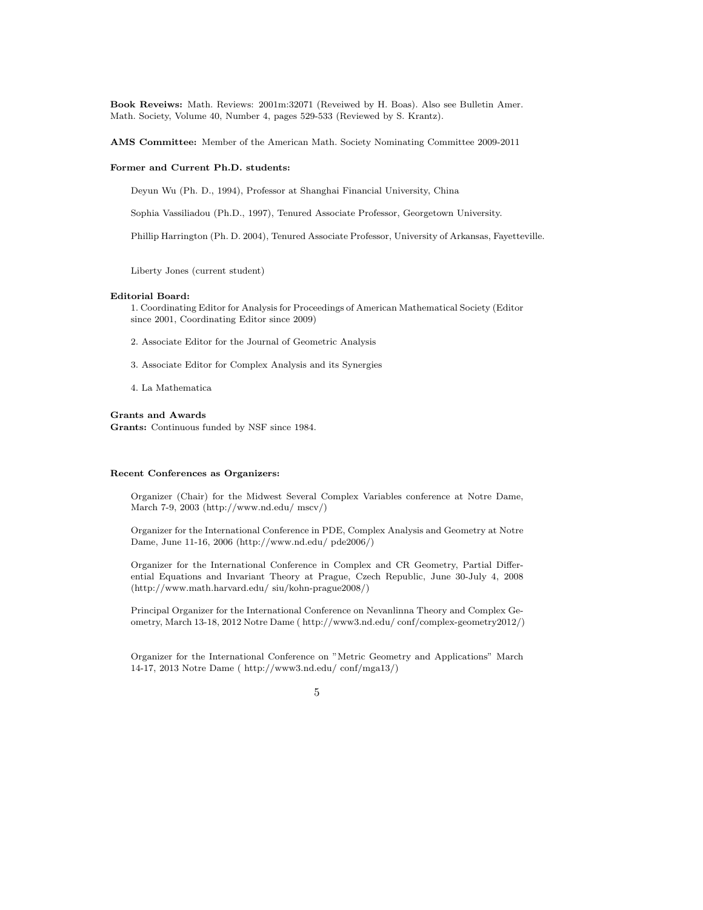Book Reveiws: Math. Reviews: 2001m:32071 (Reveiwed by H. Boas). Also see Bulletin Amer. Math. Society, Volume 40, Number 4, pages 529-533 (Reviewed by S. Krantz).

AMS Committee: Member of the American Math. Society Nominating Committee 2009-2011

#### Former and Current Ph.D. students:

Deyun Wu (Ph. D., 1994), Professor at Shanghai Financial University, China

Sophia Vassiliadou (Ph.D., 1997), Tenured Associate Professor, Georgetown University.

Phillip Harrington (Ph. D. 2004), Tenured Associate Professor, University of Arkansas, Fayetteville.

Liberty Jones (current student)

## Editorial Board:

1. Coordinating Editor for Analysis for Proceedings of American Mathematical Society (Editor since 2001, Coordinating Editor since 2009)

- 2. Associate Editor for the Journal of Geometric Analysis
- 3. Associate Editor for Complex Analysis and its Synergies
- 4. La Mathematica

## Grants and Awards

Grants: Continuous funded by NSF since 1984.

#### Recent Conferences as Organizers:

Organizer (Chair) for the Midwest Several Complex Variables conference at Notre Dame, March 7-9, 2003 (http://www.nd.edu/ mscv/)

Organizer for the International Conference in PDE, Complex Analysis and Geometry at Notre Dame, June 11-16, 2006 (http://www.nd.edu/ pde2006/)

Organizer for the International Conference in Complex and CR Geometry, Partial Differential Equations and Invariant Theory at Prague, Czech Republic, June 30-July 4, 2008 (http://www.math.harvard.edu/ siu/kohn-prague2008/)

Principal Organizer for the International Conference on Nevanlinna Theory and Complex Geometry, March 13-18, 2012 Notre Dame ( http://www3.nd.edu/ conf/complex-geometry2012/)

Organizer for the International Conference on "Metric Geometry and Applications" March 14-17, 2013 Notre Dame ( http://www3.nd.edu/ conf/mga13/)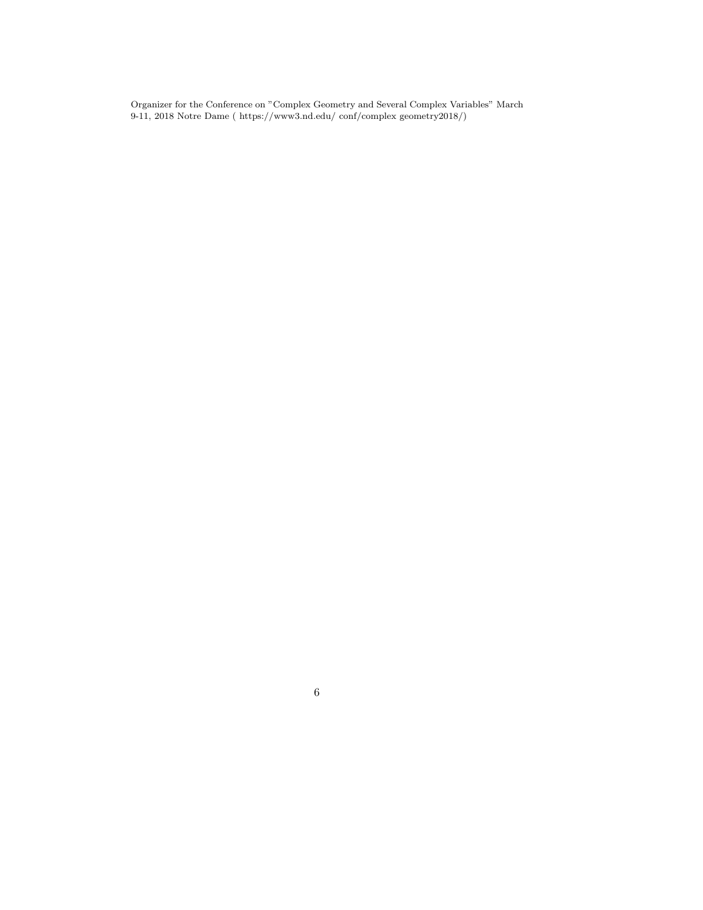Organizer for the Conference on "Complex Geometry and Several Complex Variables" March 9-11, 2018 Notre Dame ( https://www3.nd.edu/ conf/complex geometry2018/)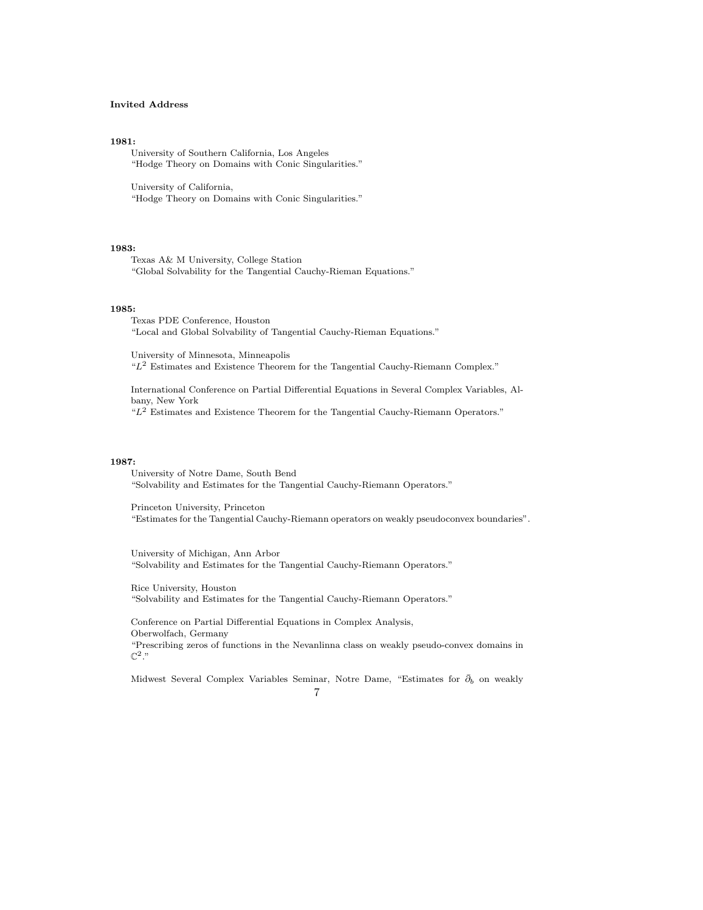# Invited Address

#### 1981:

University of Southern California, Los Angeles "Hodge Theory on Domains with Conic Singularities."

University of California, "Hodge Theory on Domains with Conic Singularities."

### 1983:

Texas A& M University, College Station "Global Solvability for the Tangential Cauchy-Rieman Equations."

## 1985:

Texas PDE Conference, Houston "Local and Global Solvability of Tangential Cauchy-Rieman Equations."

University of Minnesota, Minneapolis " $L<sup>2</sup>$  Estimates and Existence Theorem for the Tangential Cauchy-Riemann Complex."

International Conference on Partial Differential Equations in Several Complex Variables, Albany, New York " $L<sup>2</sup>$  Estimates and Existence Theorem for the Tangential Cauchy-Riemann Operators."

#### 1987:

University of Notre Dame, South Bend "Solvability and Estimates for the Tangential Cauchy-Riemann Operators."

Princeton University, Princeton "Estimates for the Tangential Cauchy-Riemann operators on weakly pseudoconvex boundaries".

University of Michigan, Ann Arbor "Solvability and Estimates for the Tangential Cauchy-Riemann Operators."

Rice University, Houston "Solvability and Estimates for the Tangential Cauchy-Riemann Operators."

Conference on Partial Differential Equations in Complex Analysis, Oberwolfach, Germany "Prescribing zeros of functions in the Nevanlinna class on weakly pseudo-convex domains in  $\mathbb{C}^2$ ."

Midwest Several Complex Variables Seminar, Notre Dame, "Estimates for  $\bar{\partial}_b$  on weakly 7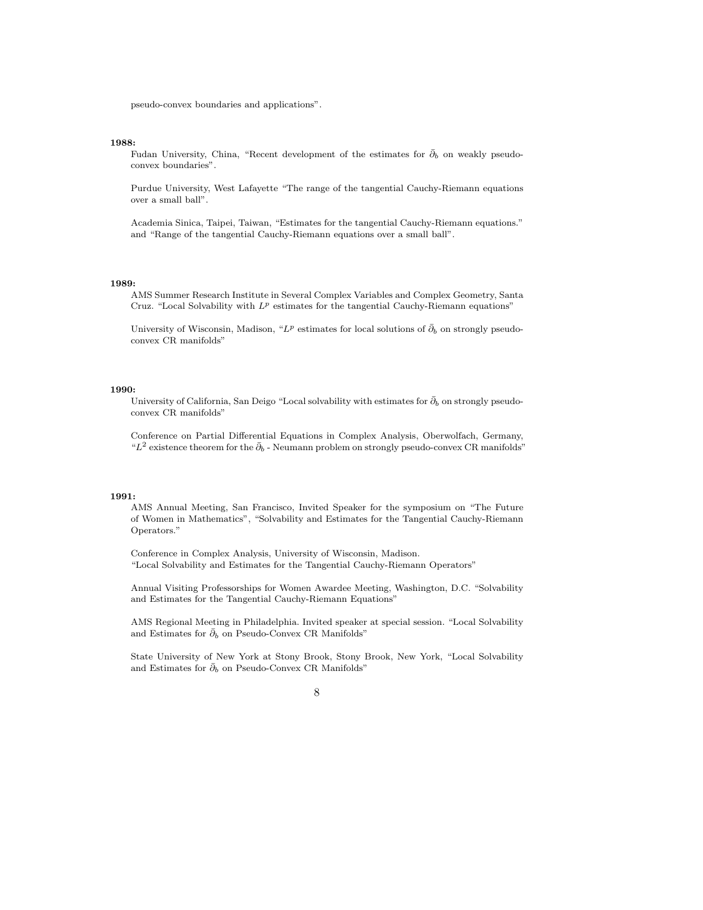pseudo-convex boundaries and applications".

## 1988:

Fudan University, China, "Recent development of the estimates for  $\bar{\partial}_b$  on weakly pseudoconvex boundaries".

Purdue University, West Lafayette "The range of the tangential Cauchy-Riemann equations over a small ball".

Academia Sinica, Taipei, Taiwan, "Estimates for the tangential Cauchy-Riemann equations." and "Range of the tangential Cauchy-Riemann equations over a small ball".

# 1989:

AMS Summer Research Institute in Several Complex Variables and Complex Geometry, Santa Cruz. "Local Solvability with  $L^p$  estimates for the tangential Cauchy-Riemann equations"

University of Wisconsin, Madison, " $L^p$  estimates for local solutions of  $\bar{\partial}_b$  on strongly pseudoconvex CR manifolds"

## 1990:

University of California, San Deigo "Local solvability with estimates for  $\bar{\partial}_b$  on strongly pseudoconvex CR manifolds"

Conference on Partial Differential Equations in Complex Analysis, Oberwolfach, Germany, " $L^2$  existence theorem for the  $\bar{\partial}_b$  - Neumann problem on strongly pseudo-convex CR manifolds"

# 1991:

AMS Annual Meeting, San Francisco, Invited Speaker for the symposium on "The Future of Women in Mathematics", "Solvability and Estimates for the Tangential Cauchy-Riemann Operators."

Conference in Complex Analysis, University of Wisconsin, Madison. "Local Solvability and Estimates for the Tangential Cauchy-Riemann Operators"

Annual Visiting Professorships for Women Awardee Meeting, Washington, D.C. "Solvability and Estimates for the Tangential Cauchy-Riemann Equations"

AMS Regional Meeting in Philadelphia. Invited speaker at special session. "Local Solvability and Estimates for  $\bar{\partial}_b$  on Pseudo-Convex CR Manifolds"

State University of New York at Stony Brook, Stony Brook, New York, "Local Solvability and Estimates for  $\bar{\partial}_b$  on Pseudo-Convex CR Manifolds"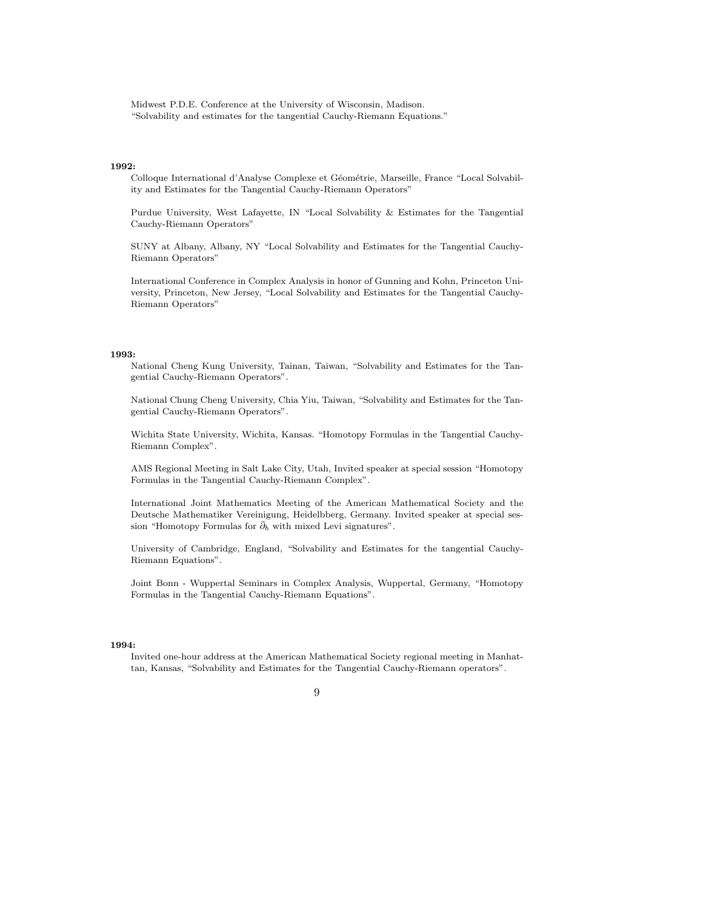Midwest P.D.E. Conference at the University of Wisconsin, Madison. "Solvability and estimates for the tangential Cauchy-Riemann Equations."

#### 1992:

Colloque International d'Analyse Complexe et Géométrie, Marseille, France "Local Solvability and Estimates for the Tangential Cauchy-Riemann Operators"

Purdue University, West Lafayette, IN "Local Solvability & Estimates for the Tangential Cauchy-Riemann Operators"

SUNY at Albany, Albany, NY "Local Solvability and Estimates for the Tangential Cauchy-Riemann Operators"

International Conference in Complex Analysis in honor of Gunning and Kohn, Princeton University, Princeton, New Jersey, "Local Solvability and Estimates for the Tangential Cauchy-Riemann Operators"

#### 1993:

National Cheng Kung University, Tainan, Taiwan, "Solvability and Estimates for the Tangential Cauchy-Riemann Operators".

National Chung Cheng University, Chia Yiu, Taiwan, "Solvability and Estimates for the Tangential Cauchy-Riemann Operators".

Wichita State University, Wichita, Kansas. "Homotopy Formulas in the Tangential Cauchy-Riemann Complex".

AMS Regional Meeting in Salt Lake City, Utah, Invited speaker at special session "Homotopy Formulas in the Tangential Cauchy-Riemann Complex".

International Joint Mathematics Meeting of the American Mathematical Society and the Deutsche Mathematiker Vereinigung, Heidelbberg, Germany. Invited speaker at special session "Homotopy Formulas for  $\bar{\partial}_b$  with mixed Levi signatures".

University of Cambridge, England, "Solvability and Estimates for the tangential Cauchy-Riemann Equations".

Joint Bonn - Wuppertal Seminars in Complex Analysis, Wuppertal, Germany, "Homotopy Formulas in the Tangential Cauchy-Riemann Equations".

#### 1994:

Invited one-hour address at the American Mathematical Society regional meeting in Manhattan, Kansas, "Solvability and Estimates for the Tangential Cauchy-Riemann operators".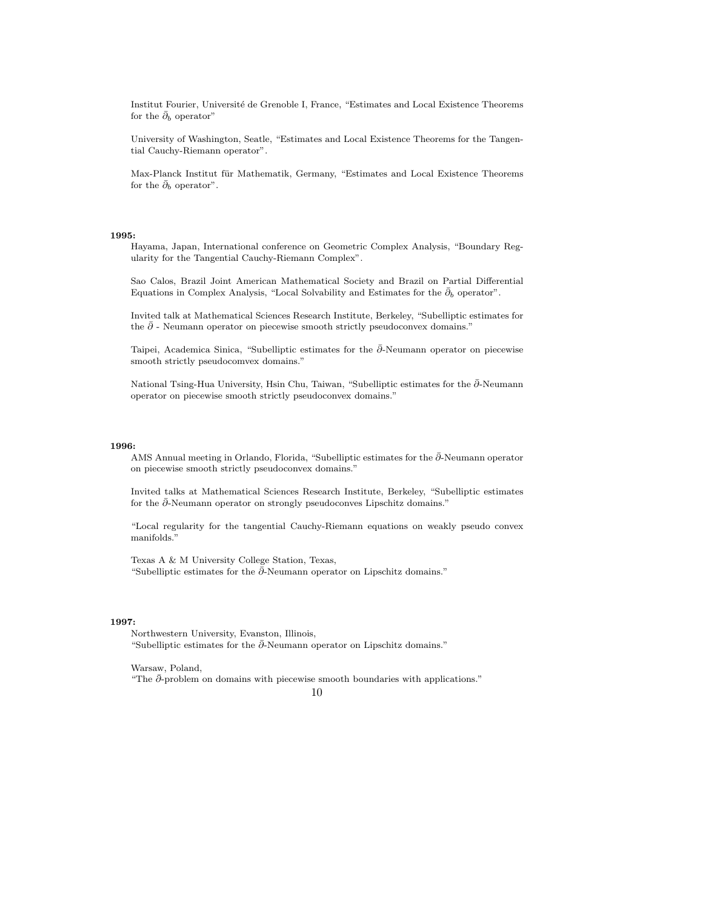Institut Fourier, Université de Grenoble I, France, "Estimates and Local Existence Theorems for the  $\bar{\partial}_b$  operator"

University of Washington, Seatle, "Estimates and Local Existence Theorems for the Tangential Cauchy-Riemann operator".

Max-Planck Institut für Mathematik, Germany, "Estimates and Local Existence Theorems for the  $\bar{\partial}_b$  operator".

## 1995:

Hayama, Japan, International conference on Geometric Complex Analysis, "Boundary Regularity for the Tangential Cauchy-Riemann Complex".

Sao Calos, Brazil Joint American Mathematical Society and Brazil on Partial Differential Equations in Complex Analysis, "Local Solvability and Estimates for the  $\bar{\partial}_b$  operator".

Invited talk at Mathematical Sciences Research Institute, Berkeley, "Subelliptic estimates for the  $\bar{\partial}$  - Neumann operator on piecewise smooth strictly pseudoconvex domains."

Taipei, Academica Sinica, "Subelliptic estimates for the ∂-Neumann operator on piecewise smooth strictly pseudocomvex domains."

National Tsing-Hua University, Hsin Chu, Taiwan, "Subelliptic estimates for the ∂-Neumann operator on piecewise smooth strictly pseudoconvex domains."

## 1996:

AMS Annual meeting in Orlando, Florida, "Subelliptic estimates for the  $\bar{\partial}$ -Neumann operator on piecewise smooth strictly pseudoconvex domains."

Invited talks at Mathematical Sciences Research Institute, Berkeley, "Subelliptic estimates for the  $\bar{\partial}$ -Neumann operator on strongly pseudoconves Lipschitz domains."

"Local regularity for the tangential Cauchy-Riemann equations on weakly pseudo convex manifolds."

Texas A & M University College Station, Texas, "Subelliptic estimates for the  $\bar{\partial}$ -Neumann operator on Lipschitz domains."

## 1997:

Northwestern University, Evanston, Illinois, "Subelliptic estimates for the  $\bar{\partial}$ -Neumann operator on Lipschitz domains."

Warsaw, Poland,

"The  $\bar{\partial}$ -problem on domains with piecewise smooth boundaries with applications."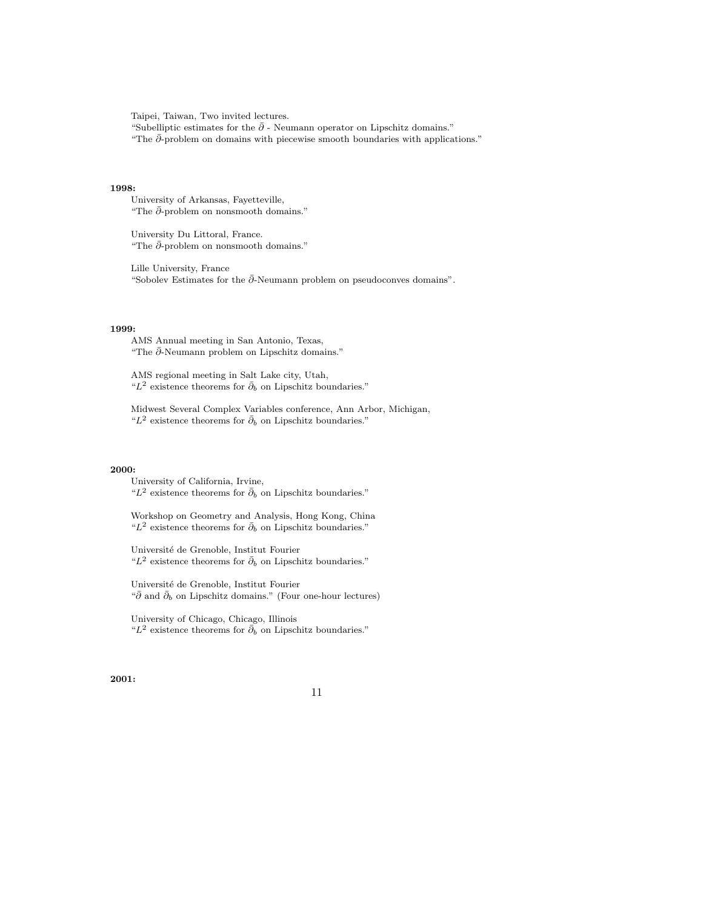Taipei, Taiwan, Two invited lectures.

"Subelliptic estimates for the  $\bar{\partial}$  - Neumann operator on Lipschitz domains." "The  $\bar{\partial}$ -problem on domains with piecewise smooth boundaries with applications."

## 1998:

University of Arkansas, Fayetteville, "The  $\bar{\partial}$ -problem on nonsmooth domains."

University Du Littoral, France. "The  $\bar{\partial}$ -problem on nonsmooth domains."

Lille University, France "Sobolev Estimates for the  $\bar{\partial}$ -Neumann problem on pseudoconves domains".

# 1999:

AMS Annual meeting in San Antonio, Texas, "The ∂¯-Neumann problem on Lipschitz domains."

AMS regional meeting in Salt Lake city, Utah, " $L^2$  existence theorems for  $\bar{\partial}_b$  on Lipschitz boundaries."

Midwest Several Complex Variables conference, Ann Arbor, Michigan, " $L^2$  existence theorems for  $\bar{\partial}_b$  on Lipschitz boundaries."

#### 2000:

University of California, Irvine, " $L^2$  existence theorems for  $\bar{\partial}_b$  on Lipschitz boundaries."

Workshop on Geometry and Analysis, Hong Kong, China " $L^2$  existence theorems for  $\bar{\partial}_b$  on Lipschitz boundaries."

Université de Grenoble, Institut Fourier " $L^2$  existence theorems for  $\bar{\partial}_b$  on Lipschitz boundaries."

Université de Grenoble, Institut Fourier " $\bar{\partial}$  and  $\bar{\partial}_b$  on Lipschitz domains." (Four one-hour lectures)

University of Chicago, Chicago, Illinois " $L^2$  existence theorems for  $\bar{\partial}_b$  on Lipschitz boundaries."

# 2001: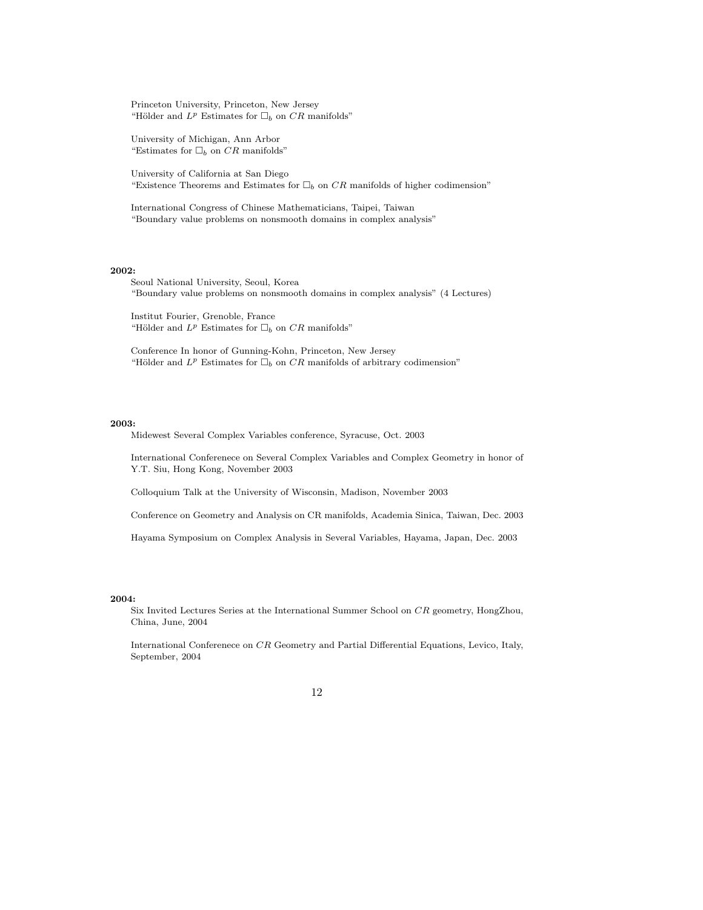Princeton University, Princeton, New Jersey "Hölder and  $L^p$  Estimates for  $\Box_b$  on CR manifolds"

University of Michigan, Ann Arbor "Estimates for  $\Box_b$  on CR manifolds"

University of California at San Diego "Existence Theorems and Estimates for  $\Box_b$  on CR manifolds of higher codimension"

International Congress of Chinese Mathematicians, Taipei, Taiwan "Boundary value problems on nonsmooth domains in complex analysis"

# 2002:

Seoul National University, Seoul, Korea "Boundary value problems on nonsmooth domains in complex analysis" (4 Lectures)

Institut Fourier, Grenoble, France "Hölder and  $L^p$  Estimates for  $\Box_b$  on CR manifolds"

Conference In honor of Gunning-Kohn, Princeton, New Jersey "Hölder and  $L^p$  Estimates for  $\Box_b$  on CR manifolds of arbitrary codimension"

#### 2003:

Midewest Several Complex Variables conference, Syracuse, Oct. 2003

International Conferenece on Several Complex Variables and Complex Geometry in honor of Y.T. Siu, Hong Kong, November 2003

Colloquium Talk at the University of Wisconsin, Madison, November 2003

Conference on Geometry and Analysis on CR manifolds, Academia Sinica, Taiwan, Dec. 2003

Hayama Symposium on Complex Analysis in Several Variables, Hayama, Japan, Dec. 2003

## 2004:

Six Invited Lectures Series at the International Summer School on CR geometry, HongZhou, China, June, 2004

International Conferenece on CR Geometry and Partial Differential Equations, Levico, Italy, September, 2004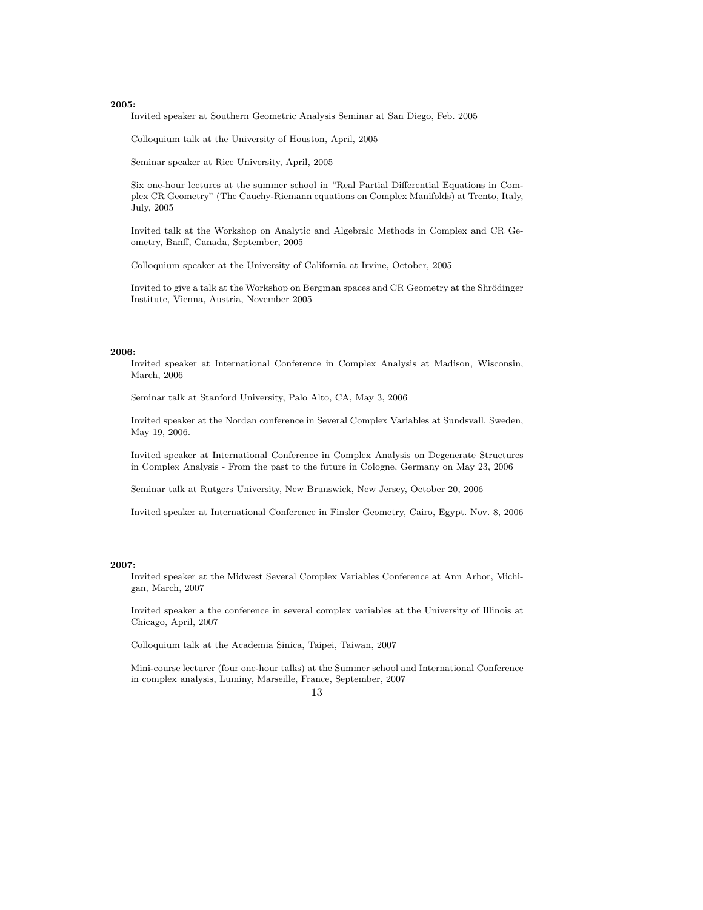Invited speaker at Southern Geometric Analysis Seminar at San Diego, Feb. 2005

Colloquium talk at the University of Houston, April, 2005

Seminar speaker at Rice University, April, 2005

Six one-hour lectures at the summer school in "Real Partial Differential Equations in Complex CR Geometry" (The Cauchy-Riemann equations on Complex Manifolds) at Trento, Italy, July, 2005

Invited talk at the Workshop on Analytic and Algebraic Methods in Complex and CR Geometry, Banff, Canada, September, 2005

Colloquium speaker at the University of California at Irvine, October, 2005

Invited to give a talk at the Workshop on Bergman spaces and CR Geometry at the Shrödinger Institute, Vienna, Austria, November 2005

# 2006:

Invited speaker at International Conference in Complex Analysis at Madison, Wisconsin, March, 2006

Seminar talk at Stanford University, Palo Alto, CA, May 3, 2006

Invited speaker at the Nordan conference in Several Complex Variables at Sundsvall, Sweden, May 19, 2006.

Invited speaker at International Conference in Complex Analysis on Degenerate Structures in Complex Analysis - From the past to the future in Cologne, Germany on May 23, 2006

Seminar talk at Rutgers University, New Brunswick, New Jersey, October 20, 2006

Invited speaker at International Conference in Finsler Geometry, Cairo, Egypt. Nov. 8, 2006

## 2007:

Invited speaker at the Midwest Several Complex Variables Conference at Ann Arbor, Michigan, March, 2007

Invited speaker a the conference in several complex variables at the University of Illinois at Chicago, April, 2007

Colloquium talk at the Academia Sinica, Taipei, Taiwan, 2007

Mini-course lecturer (four one-hour talks) at the Summer school and International Conference in complex analysis, Luminy, Marseille, France, September, 2007

# 13

# 2005: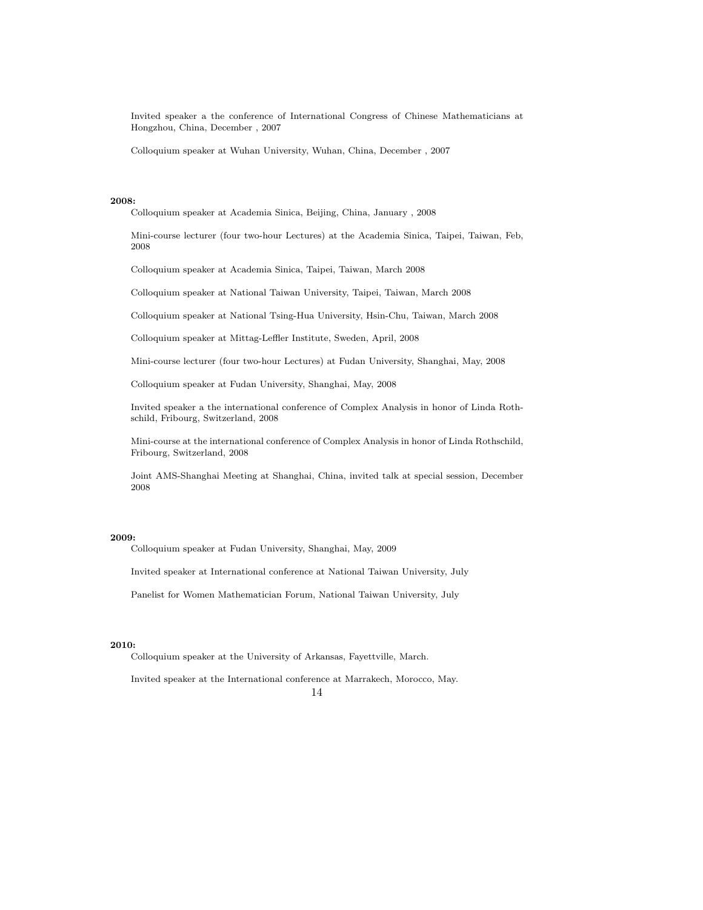Invited speaker a the conference of International Congress of Chinese Mathematicians at Hongzhou, China, December , 2007

Colloquium speaker at Wuhan University, Wuhan, China, December , 2007

## 2008:

Colloquium speaker at Academia Sinica, Beijing, China, January , 2008

Mini-course lecturer (four two-hour Lectures) at the Academia Sinica, Taipei, Taiwan, Feb, 2008

Colloquium speaker at Academia Sinica, Taipei, Taiwan, March 2008

Colloquium speaker at National Taiwan University, Taipei, Taiwan, March 2008

Colloquium speaker at National Tsing-Hua University, Hsin-Chu, Taiwan, March 2008

Colloquium speaker at Mittag-Leffler Institute, Sweden, April, 2008

Mini-course lecturer (four two-hour Lectures) at Fudan University, Shanghai, May, 2008

Colloquium speaker at Fudan University, Shanghai, May, 2008

Invited speaker a the international conference of Complex Analysis in honor of Linda Rothschild, Fribourg, Switzerland, 2008

Mini-course at the international conference of Complex Analysis in honor of Linda Rothschild, Fribourg, Switzerland, 2008

Joint AMS-Shanghai Meeting at Shanghai, China, invited talk at special session, December 2008

## 2009:

Colloquium speaker at Fudan University, Shanghai, May, 2009

Invited speaker at International conference at National Taiwan University, July

Panelist for Women Mathematician Forum, National Taiwan University, July

#### 2010:

Colloquium speaker at the University of Arkansas, Fayettville, March.

Invited speaker at the International conference at Marrakech, Morocco, May. 14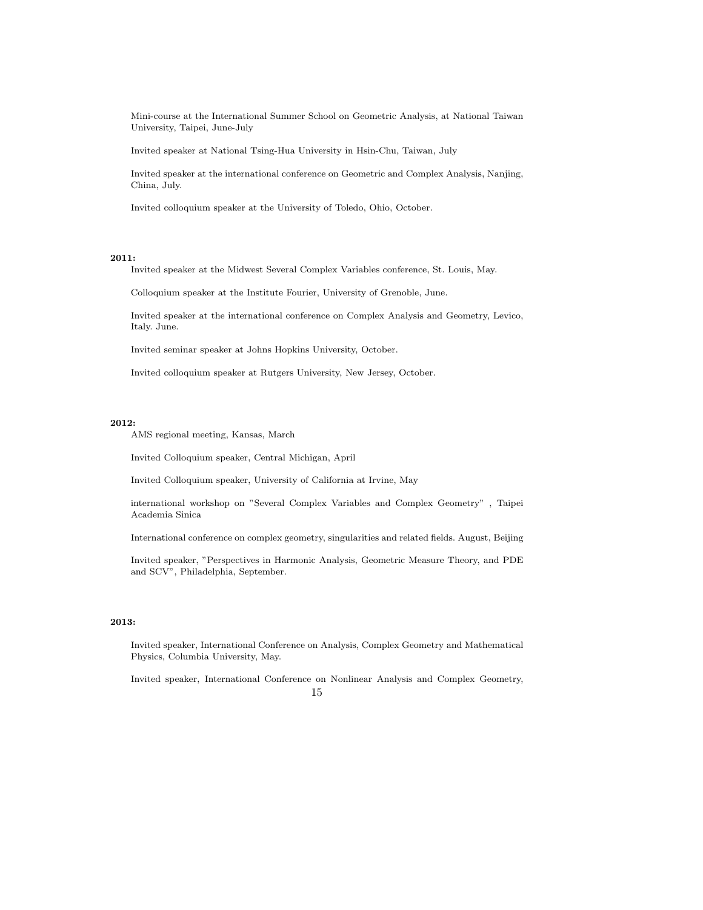Mini-course at the International Summer School on Geometric Analysis, at National Taiwan University, Taipei, June-July

Invited speaker at National Tsing-Hua University in Hsin-Chu, Taiwan, July

Invited speaker at the international conference on Geometric and Complex Analysis, Nanjing, China, July.

Invited colloquium speaker at the University of Toledo, Ohio, October.

# 2011:

Invited speaker at the Midwest Several Complex Variables conference, St. Louis, May.

Colloquium speaker at the Institute Fourier, University of Grenoble, June.

Invited speaker at the international conference on Complex Analysis and Geometry, Levico, Italy. June.

Invited seminar speaker at Johns Hopkins University, October.

Invited colloquium speaker at Rutgers University, New Jersey, October.

## 2012:

AMS regional meeting, Kansas, March

Invited Colloquium speaker, Central Michigan, April

Invited Colloquium speaker, University of California at Irvine, May

international workshop on "Several Complex Variables and Complex Geometry" , Taipei Academia Sinica

International conference on complex geometry, singularities and related fields. August, Beijing

Invited speaker, "Perspectives in Harmonic Analysis, Geometric Measure Theory, and PDE and SCV", Philadelphia, September.

## 2013:

Invited speaker, International Conference on Analysis, Complex Geometry and Mathematical Physics, Columbia University, May.

Invited speaker, International Conference on Nonlinear Analysis and Complex Geometry, 15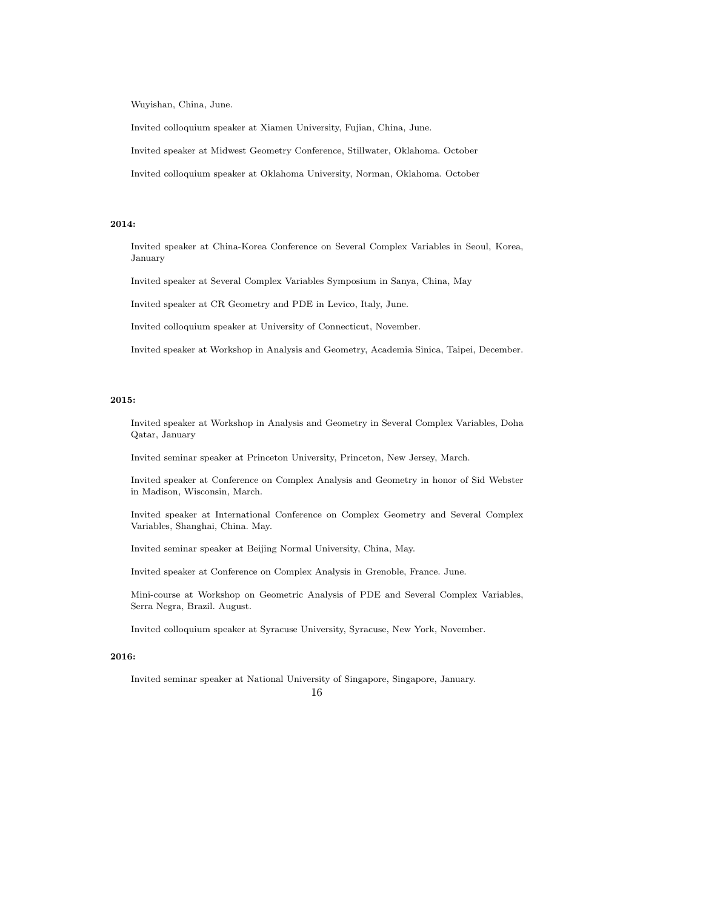Wuyishan, China, June.

Invited colloquium speaker at Xiamen University, Fujian, China, June.

Invited speaker at Midwest Geometry Conference, Stillwater, Oklahoma. October

Invited colloquium speaker at Oklahoma University, Norman, Oklahoma. October

## 2014:

Invited speaker at China-Korea Conference on Several Complex Variables in Seoul, Korea, January

Invited speaker at Several Complex Variables Symposium in Sanya, China, May

Invited speaker at CR Geometry and PDE in Levico, Italy, June.

Invited colloquium speaker at University of Connecticut, November.

Invited speaker at Workshop in Analysis and Geometry, Academia Sinica, Taipei, December.

## 2015:

Invited speaker at Workshop in Analysis and Geometry in Several Complex Variables, Doha Qatar, January

Invited seminar speaker at Princeton University, Princeton, New Jersey, March.

Invited speaker at Conference on Complex Analysis and Geometry in honor of Sid Webster in Madison, Wisconsin, March.

Invited speaker at International Conference on Complex Geometry and Several Complex Variables, Shanghai, China. May.

Invited seminar speaker at Beijing Normal University, China, May.

Invited speaker at Conference on Complex Analysis in Grenoble, France. June.

Mini-course at Workshop on Geometric Analysis of PDE and Several Complex Variables, Serra Negra, Brazil. August.

Invited colloquium speaker at Syracuse University, Syracuse, New York, November.

# 2016:

Invited seminar speaker at National University of Singapore, Singapore, January. 16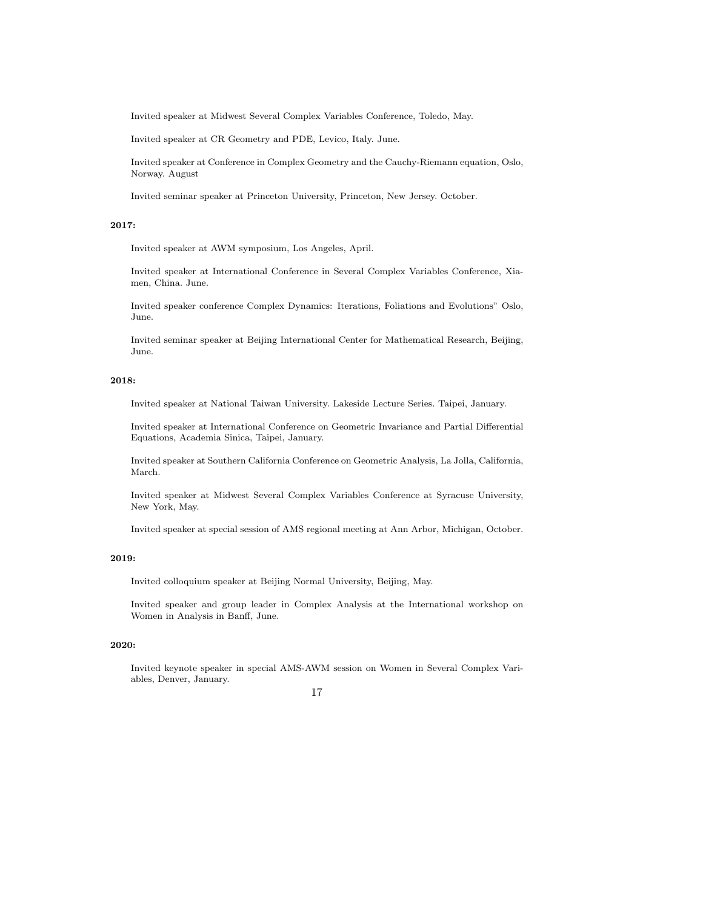Invited speaker at Midwest Several Complex Variables Conference, Toledo, May.

Invited speaker at CR Geometry and PDE, Levico, Italy. June.

Invited speaker at Conference in Complex Geometry and the Cauchy-Riemann equation, Oslo, Norway. August

Invited seminar speaker at Princeton University, Princeton, New Jersey. October.

# 2017:

Invited speaker at AWM symposium, Los Angeles, April.

Invited speaker at International Conference in Several Complex Variables Conference, Xiamen, China. June.

Invited speaker conference Complex Dynamics: Iterations, Foliations and Evolutions" Oslo, June.

Invited seminar speaker at Beijing International Center for Mathematical Research, Beijing, June.

## 2018:

Invited speaker at National Taiwan University. Lakeside Lecture Series. Taipei, January.

Invited speaker at International Conference on Geometric Invariance and Partial Differential Equations, Academia Sinica, Taipei, January.

Invited speaker at Southern California Conference on Geometric Analysis, La Jolla, California, March.

Invited speaker at Midwest Several Complex Variables Conference at Syracuse University, New York, May.

Invited speaker at special session of AMS regional meeting at Ann Arbor, Michigan, October.

# 2019:

Invited colloquium speaker at Beijing Normal University, Beijing, May.

Invited speaker and group leader in Complex Analysis at the International workshop on Women in Analysis in Banff, June.

## 2020:

Invited keynote speaker in special AMS-AWM session on Women in Several Complex Variables, Denver, January.